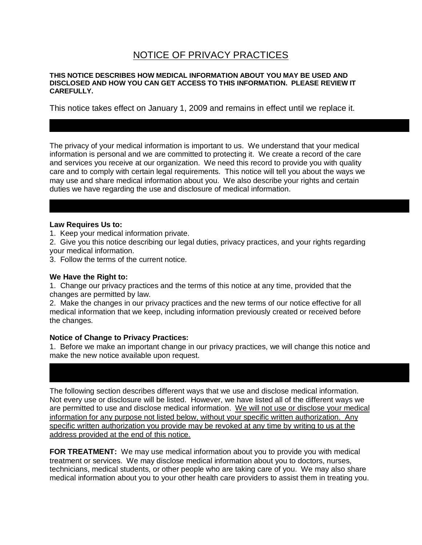## NOTICE OF PRIVACY PRACTICES

#### **THIS NOTICE DESCRIBES HOW MEDICAL INFORMATION ABOUT YOU MAY BE USED AND DISCLOSED AND HOW YOU CAN GET ACCESS TO THIS INFORMATION. PLEASE REVIEW IT CAREFULLY.**

This notice takes effect on January 1, 2009 and remains in effect until we replace it.

The privacy of your medical information is important to us. We understand that your medical information is personal and we are committed to protecting it. We create a record of the care and services you receive at our organization. We need this record to provide you with quality care and to comply with certain legal requirements. This notice will tell you about the ways we may use and share medical information about you. We also describe your rights and certain duties we have regarding the use and disclosure of medical information.

#### **Law Requires Us to:**

1. Keep your medical information private.

2. Give you this notice describing our legal duties, privacy practices, and your rights regarding your medical information.

3. Follow the terms of the current notice.

#### **We Have the Right to:**

1. Change our privacy practices and the terms of this notice at any time, provided that the changes are permitted by law.

2. Make the changes in our privacy practices and the new terms of our notice effective for all medical information that we keep, including information previously created or received before the changes.

#### **Notice of Change to Privacy Practices:**

1. Before we make an important change in our privacy practices, we will change this notice and make the new notice available upon request.

The following section describes different ways that we use and disclose medical information. Not every use or disclosure will be listed. However, we have listed all of the different ways we are permitted to use and disclose medical information. We will not use or disclose your medical information for any purpose not listed below, without your specific written authorization. Any specific written authorization you provide may be revoked at any time by writing to us at the address provided at the end of this notice.

**FOR TREATMENT:** We may use medical information about you to provide you with medical treatment or services. We may disclose medical information about you to doctors, nurses, technicians, medical students, or other people who are taking care of you. We may also share medical information about you to your other health care providers to assist them in treating you.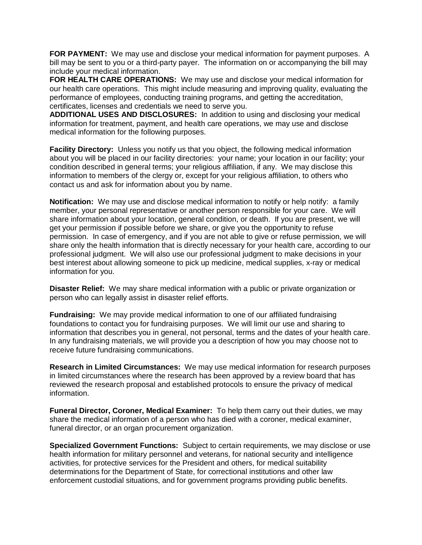**FOR PAYMENT:** We may use and disclose your medical information for payment purposes. A bill may be sent to you or a third-party payer. The information on or accompanying the bill may include your medical information.

**FOR HEALTH CARE OPERATIONS:** We may use and disclose your medical information for our health care operations. This might include measuring and improving quality, evaluating the performance of employees, conducting training programs, and getting the accreditation, certificates, licenses and credentials we need to serve you.

**ADDITIONAL USES AND DISCLOSURES:** In addition to using and disclosing your medical information for treatment, payment, and health care operations, we may use and disclose medical information for the following purposes.

**Facility Directory:** Unless you notify us that you object, the following medical information about you will be placed in our facility directories: your name; your location in our facility; your condition described in general terms; your religious affiliation, if any. We may disclose this information to members of the clergy or, except for your religious affiliation, to others who contact us and ask for information about you by name.

**Notification:** We may use and disclose medical information to notify or help notify: a family member, your personal representative or another person responsible for your care. We will share information about your location, general condition, or death. If you are present, we will get your permission if possible before we share, or give you the opportunity to refuse permission. In case of emergency, and if you are not able to give or refuse permission, we will share only the health information that is directly necessary for your health care, according to our professional judgment. We will also use our professional judgment to make decisions in your best interest about allowing someone to pick up medicine, medical supplies, x-ray or medical information for you.

**Disaster Relief:** We may share medical information with a public or private organization or person who can legally assist in disaster relief efforts.

**Fundraising:** We may provide medical information to one of our affiliated fundraising foundations to contact you for fundraising purposes. We will limit our use and sharing to information that describes you in general, not personal, terms and the dates of your health care. In any fundraising materials, we will provide you a description of how you may choose not to receive future fundraising communications.

**Research in Limited Circumstances:** We may use medical information for research purposes in limited circumstances where the research has been approved by a review board that has reviewed the research proposal and established protocols to ensure the privacy of medical information.

**Funeral Director, Coroner, Medical Examiner:** To help them carry out their duties, we may share the medical information of a person who has died with a coroner, medical examiner, funeral director, or an organ procurement organization.

**Specialized Government Functions:** Subject to certain requirements, we may disclose or use health information for military personnel and veterans, for national security and intelligence activities, for protective services for the President and others, for medical suitability determinations for the Department of State, for correctional institutions and other law enforcement custodial situations, and for government programs providing public benefits.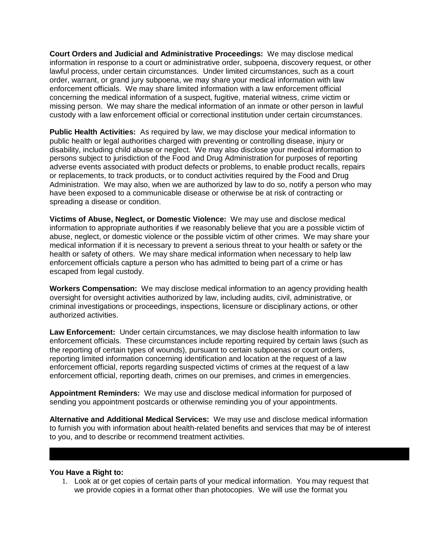**Court Orders and Judicial and Administrative Proceedings:** We may disclose medical information in response to a court or administrative order, subpoena, discovery request, or other lawful process, under certain circumstances. Under limited circumstances, such as a court order, warrant, or grand jury subpoena, we may share your medical information with law enforcement officials. We may share limited information with a law enforcement official concerning the medical information of a suspect, fugitive, material witness, crime victim or missing person. We may share the medical information of an inmate or other person in lawful custody with a law enforcement official or correctional institution under certain circumstances.

**Public Health Activities:** As required by law, we may disclose your medical information to public health or legal authorities charged with preventing or controlling disease, injury or disability, including child abuse or neglect. We may also disclose your medical information to persons subject to jurisdiction of the Food and Drug Administration for purposes of reporting adverse events associated with product defects or problems, to enable product recalls, repairs or replacements, to track products, or to conduct activities required by the Food and Drug Administration. We may also, when we are authorized by law to do so, notify a person who may have been exposed to a communicable disease or otherwise be at risk of contracting or spreading a disease or condition.

**Victims of Abuse, Neglect, or Domestic Violence:** We may use and disclose medical information to appropriate authorities if we reasonably believe that you are a possible victim of abuse, neglect, or domestic violence or the possible victim of other crimes. We may share your medical information if it is necessary to prevent a serious threat to your health or safety or the health or safety of others. We may share medical information when necessary to help law enforcement officials capture a person who has admitted to being part of a crime or has escaped from legal custody.

**Workers Compensation:** We may disclose medical information to an agency providing health oversight for oversight activities authorized by law, including audits, civil, administrative, or criminal investigations or proceedings, inspections, licensure or disciplinary actions, or other authorized activities.

**Law Enforcement:** Under certain circumstances, we may disclose health information to law enforcement officials. These circumstances include reporting required by certain laws (such as the reporting of certain types of wounds), pursuant to certain subpoenas or court orders, reporting limited information concerning identification and location at the request of a law enforcement official, reports regarding suspected victims of crimes at the request of a law enforcement official, reporting death, crimes on our premises, and crimes in emergencies.

**Appointment Reminders:** We may use and disclose medical information for purposed of sending you appointment postcards or otherwise reminding you of your appointments.

**Alternative and Additional Medical Services:** We may use and disclose medical information to furnish you with information about health-related benefits and services that may be of interest to you, and to describe or recommend treatment activities.

#### **You Have a Right to:**

1. Look at or get copies of certain parts of your medical information. You may request that we provide copies in a format other than photocopies. We will use the format you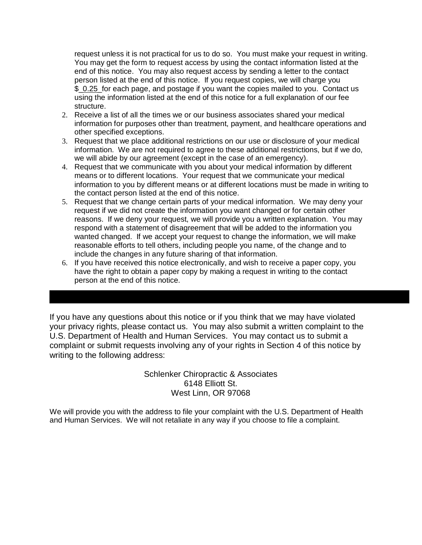request unless it is not practical for us to do so. You must make your request in writing. You may get the form to request access by using the contact information listed at the end of this notice. You may also request access by sending a letter to the contact person listed at the end of this notice. If you request copies, we will charge you \$ 0.25 for each page, and postage if you want the copies mailed to you. Contact us using the information listed at the end of this notice for a full explanation of our fee structure.

- 2. Receive a list of all the times we or our business associates shared your medical information for purposes other than treatment, payment, and healthcare operations and other specified exceptions.
- 3. Request that we place additional restrictions on our use or disclosure of your medical information. We are not required to agree to these additional restrictions, but if we do, we will abide by our agreement (except in the case of an emergency).
- 4. Request that we communicate with you about your medical information by different means or to different locations. Your request that we communicate your medical information to you by different means or at different locations must be made in writing to the contact person listed at the end of this notice.
- 5. Request that we change certain parts of your medical information. We may deny your request if we did not create the information you want changed or for certain other reasons. If we deny your request, we will provide you a written explanation. You may respond with a statement of disagreement that will be added to the information you wanted changed. If we accept your request to change the information, we will make reasonable efforts to tell others, including people you name, of the change and to include the changes in any future sharing of that information.
- 6. If you have received this notice electronically, and wish to receive a paper copy, you have the right to obtain a paper copy by making a request in writing to the contact person at the end of this notice.

If you have any questions about this notice or if you think that we may have violated your privacy rights, please contact us. You may also submit a written complaint to the U.S. Department of Health and Human Services. You may contact us to submit a complaint or submit requests involving any of your rights in Section 4 of this notice by writing to the following address:

> Schlenker Chiropractic & Associates 6148 Elliott St. West Linn, OR 97068

We will provide you with the address to file your complaint with the U.S. Department of Health and Human Services. We will not retaliate in any way if you choose to file a complaint.